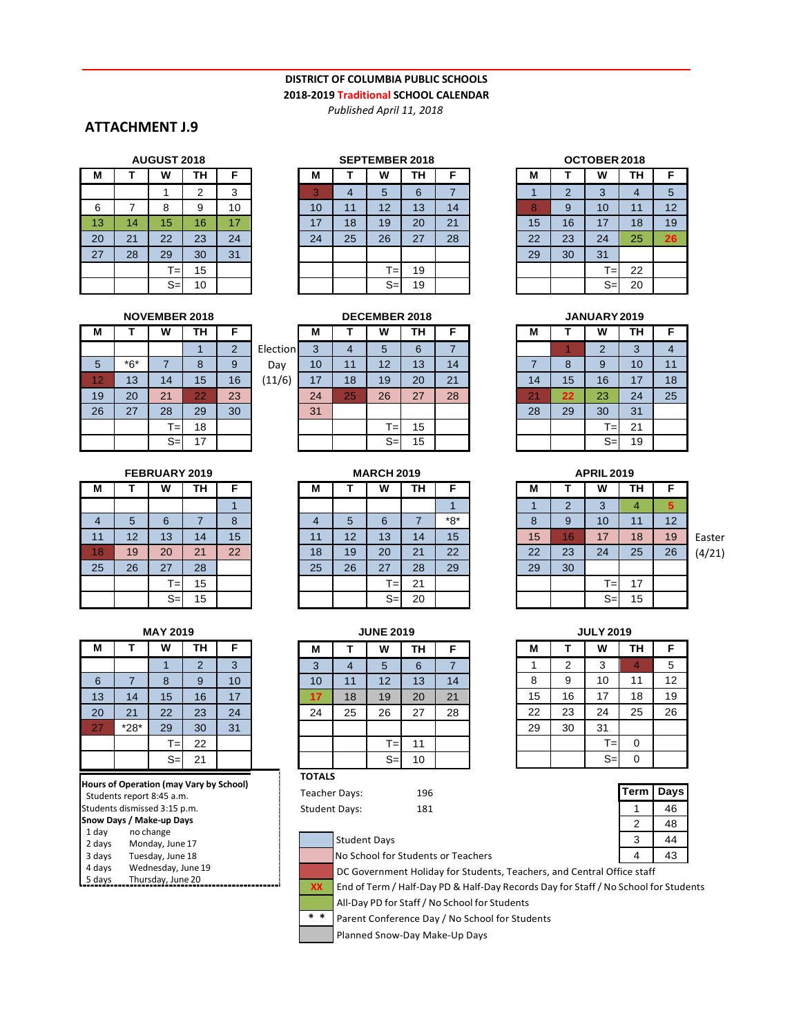### **DISTRICT OF COLUMBIA PUBLIC SCHOOLS 2018-2019 Traditional SCHOOL CALENDAR**

*Published April 11, 2018*

## **ATTACHMENT J.9**

| <b>AUGUST 2018</b> |    |       |                |    |  |
|--------------------|----|-------|----------------|----|--|
| М                  | т  | W     | ΤН             | F  |  |
|                    |    |       | $\overline{2}$ | 3  |  |
| 6                  |    | 8     | 9              | 10 |  |
| 13                 | 14 | 15    | 16             | 17 |  |
| 20                 | 21 | 22    | 23             | 24 |  |
| 27                 | 28 | 29    | 30             | 31 |  |
|                    |    | $T =$ | 15             |    |  |
|                    |    | $S =$ | 10             |    |  |

### **AUGUST 2018 SEPTEMBER 2018 OCTOBER 2018**

| М              | т  | W     | <b>TH</b> | F  |
|----------------|----|-------|-----------|----|
| $\overline{3}$ | 4  | 5     | 6         |    |
| 10             | 11 | 12    | 13        | 14 |
| 17             | 18 | 19    | 20        | 21 |
| 24             | 25 | 26    | 27        | 28 |
|                |    |       |           |    |
|                |    | $T =$ | 19        |    |
|                |    | $S =$ | 19        |    |

| <b>OCTOBER 2018</b> |                |       |    |    |  |  |
|---------------------|----------------|-------|----|----|--|--|
| М                   |                | W     | TН | F  |  |  |
|                     | $\overline{2}$ | 3     |    | 5  |  |  |
| 8                   | 9              | 10    | 11 | 12 |  |  |
| 15                  | 16             | 17    | 18 | 19 |  |  |
| 22                  | 23             | 24    | 25 | 26 |  |  |
| 29                  | 30             | 31    |    |    |  |  |
|                     |                | $T =$ | 22 |    |  |  |
|                     |                | $S =$ | 20 |    |  |  |

| М              |       | W     | <b>TH</b> | F                       |   |
|----------------|-------|-------|-----------|-------------------------|---|
|                |       |       |           | $\overline{\mathbf{c}}$ | E |
| $5\phantom{1}$ | $*6*$ |       | 8         | 9                       |   |
| 12             | 13    | 14    | 15        | 16                      |   |
| 19             | 20    | 21    | 22        | 23                      |   |
| 26             | 27    | 28    | 29        | 30                      |   |
|                |       | $T =$ | 18        |                         |   |
|                |       | $S=$  | 17        |                         |   |

| <b>FEBRUARY 2019</b> |    |                |    |    |  |  |
|----------------------|----|----------------|----|----|--|--|
| М                    | т  | W<br><b>TH</b> |    | F  |  |  |
|                      |    |                |    |    |  |  |
| 4                    | 5  | 6              | 7  | 8  |  |  |
| 11                   | 12 | 13             | 14 | 15 |  |  |
| 18                   | 19 | 20             | 21 | 22 |  |  |
| 25                   | 26 | 27             | 28 |    |  |  |
|                      |    | $T =$          | 15 |    |  |  |
|                      |    | $S =$          | 15 |    |  |  |

| <b>MAY 2019</b> |                |                |                |    |  |
|-----------------|----------------|----------------|----------------|----|--|
| М               | т              | <b>TH</b><br>W |                |    |  |
|                 |                |                | $\overline{2}$ | 3  |  |
| 6               | $\overline{7}$ | 8              | 9              | 10 |  |
| 13              | 14             | 15             | 16             | 17 |  |
| 20              | 21             | 22             | 23             | 24 |  |
| 27              | $*28*$         | 29             | 30             | 31 |  |
|                 |                | $T =$          | 22             |    |  |
|                 |                | $S =$          | 21             |    |  |

|                          | Hours of Operation (may Vary by School) |  |  |  |  |
|--------------------------|-----------------------------------------|--|--|--|--|
|                          | Students report 8:45 a.m.               |  |  |  |  |
|                          | Students dismissed 3:15 p.m.            |  |  |  |  |
| Snow Days / Make-up Days |                                         |  |  |  |  |
| 1 day                    | no change                               |  |  |  |  |
| 2 days                   | Monday, June 17                         |  |  |  |  |
| 3 days                   | Tuesday, June 18                        |  |  |  |  |
| 4 days                   | Wednesday, June 19                      |  |  |  |  |
| 5 days                   | Thursday, June 20                       |  |  |  |  |
|                          |                                         |  |  |  |  |

|       | <b>NOVEMBER 2018</b> |    |    |          |    |    | <b>DECEMBER 2018</b> |    |    |    |    | JANUARY 2019 |    |
|-------|----------------------|----|----|----------|----|----|----------------------|----|----|----|----|--------------|----|
|       | W                    | ΤН | F  |          | M  |    | w                    | ΤН | F  | M  |    | w            | TН |
|       |                      |    | 2  | Election | 3  | 4  | 5                    | 6  | 7  |    |    | ົ            | 3  |
| $*6*$ |                      | 8  | 9  | Day      | 10 | 11 | 12                   | 13 | 14 |    | 8  | 9            | 10 |
| 13    | 14                   | 15 | 16 | (11/6)   | 17 | 18 | 19                   | 20 | 21 | 14 | 15 | 16           | 17 |
| 20    | 21                   | 22 | 23 |          | 24 | 25 | 26                   | 27 | 28 | 21 | 22 | 23           | 24 |
| 27    | 28                   | 29 | 30 |          | 31 |    |                      |    |    | 28 | 29 | 30           | 31 |
|       | τ <sub>=</sub> ,     | 18 |    |          |    |    | $T_{\pm}$            | 15 |    |    |    | T=I          | 21 |
|       | $S=$                 | 17 |    |          |    |    | $S=$                 | 15 |    |    |    | $S=$         | 19 |

| W               | TН              | F  | M               |
|-----------------|-----------------|----|-----------------|
| $\overline{5}$  | 6               | 7  |                 |
| 12              | 13              | 14 |                 |
| 19              | 20              | 21 | 14              |
| $\overline{26}$ | $\overline{27}$ | 28 | <b>21</b>       |
|                 |                 |    | $\overline{28}$ |
| $T =$           | $15\,$          |    |                 |
| $S=$            | 15              |    |                 |

## **M T W TH F** 1 2 3 4 8 9 10 11 15 16 17 18 21 **22** 23 24 25 28 29 30 31  $T = 21$  $S = 19$

| AFRIL 2019 |                |       |    |    |  |
|------------|----------------|-------|----|----|--|
| M          |                | W     | TH | F  |  |
|            | $\overline{2}$ | 3     | 4  | 5  |  |
| 8          | 9              | 10    | 11 | 12 |  |
| 15         | 16             | 17    | 18 | 19 |  |
| 22         | 23             | 24    | 25 | 26 |  |
| 29         | 30             |       |    |    |  |
|            |                | $T =$ | 17 |    |  |
|            |                | $S=$  | 15 |    |  |

Easter (4/21)

| <b>JULY 2019</b> |    |       |    |    |  |  |
|------------------|----|-------|----|----|--|--|
| М                | т  | W     | TН | F  |  |  |
| 1                | 2  | 3     | 4  | 5  |  |  |
| 8                | 9  | 10    | 11 | 12 |  |  |
| 15               | 16 | 17    | 18 | 19 |  |  |
| 22               | 23 | 24    | 25 | 26 |  |  |
| 29               | 30 | 31    |    |    |  |  |
|                  |    | $T =$ | 0  |    |  |  |
|                  |    | S:    |    |    |  |  |

| Term | Days |
|------|------|
|      | 46   |
| 2    | 48   |
| 3    | 44   |
|      | 3    |

**FEBRUARY 2019 MARCH 2019 APRIL 2019 M T W TH F** 1 4 5 6 7 \*8\* 11 12 13 14 15

| $S=$            | 15 |    |               |                | $S=$             | 20 |    |    |    | $S=$             |  |
|-----------------|----|----|---------------|----------------|------------------|----|----|----|----|------------------|--|
| <b>MAY 2019</b> |    |    |               |                | <b>JUNE 2019</b> |    |    |    |    | <b>JULY 2019</b> |  |
| W               | ΤН | F  | М             | т              | w                | ΤН | F  | М  |    | W                |  |
|                 | 2  | 3  | 3             | $\overline{4}$ | 5                | 6  | 7  | 4  | 2  | 3                |  |
| 8               | 9  | 10 | 10            | 11             | 12               | 13 | 14 | 8  | 9  | 10               |  |
| 15              | 16 | 17 | 17            | 18             | 19               | 20 | 21 | 15 | 16 | 17               |  |
| 22              | 23 | 24 | 24            | 25             | 26               | 27 | 28 | 22 | 23 | 24               |  |
| 29              | 30 | 31 |               |                |                  |    |    | 29 | 30 | 31               |  |
| $T =$           | 22 |    |               |                | $T =$            | 11 |    |    |    | т=               |  |
| $S=$            | 21 |    |               |                | $S=$             | 10 |    |    |    | $S=$             |  |
|                 |    |    | <b>TOTALS</b> |                |                  |    |    |    |    |                  |  |

18 19 20 21 22 25 26 27 28 29  $T = 21$ 

Teacher Days: 196 Student Days: 181

**\* \***

| 196 |
|-----|
| 18: |
|     |

| <b>Student Days</b>                |  |
|------------------------------------|--|
| No School for Students or Teachers |  |

DC Government Holiday for Students, Teachers, and Central Office staff **XX**

End of Term / Half-Day PD & Half-Day Records Day for Staff/ No School for Students All-Day PD for Staff/ No School for Students

Parent Conference Day / No School for Students

Planned Snow-Day Make-Up Days